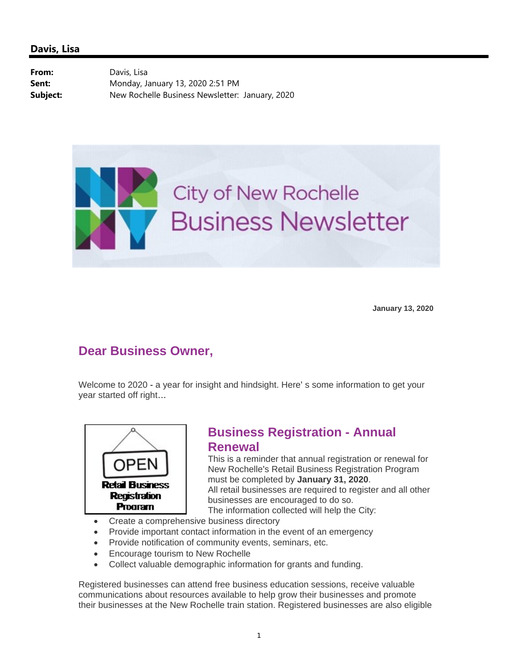From: Davis, Lisa **Sent:** Monday, January 13, 2020 2:51 PM **Subject:** New Rochelle Business Newsletter: January, 2020



**January 13, 2020**

## **Dear Business Owner,**

Welcome to 2020 - a year for insight and hindsight. Here' s some information to get your year started off right…



# **Business Registration - Annual Renewal**

This is a reminder that annual registration or renewal for New Rochelle's Retail Business Registration Program must be completed by **January 31, 2020**. All retail businesses are required to register and all other businesses are encouraged to do so. The information collected will help the City:

- Create a comprehensive business directory
- Provide important contact information in the event of an emergency
- Provide notification of community events, seminars, etc.
- Encourage tourism to New Rochelle
- Collect valuable demographic information for grants and funding.

Registered businesses can attend free business education sessions, receive valuable communications about resources available to help grow their businesses and promote their businesses at the New Rochelle train station. Registered businesses are also eligible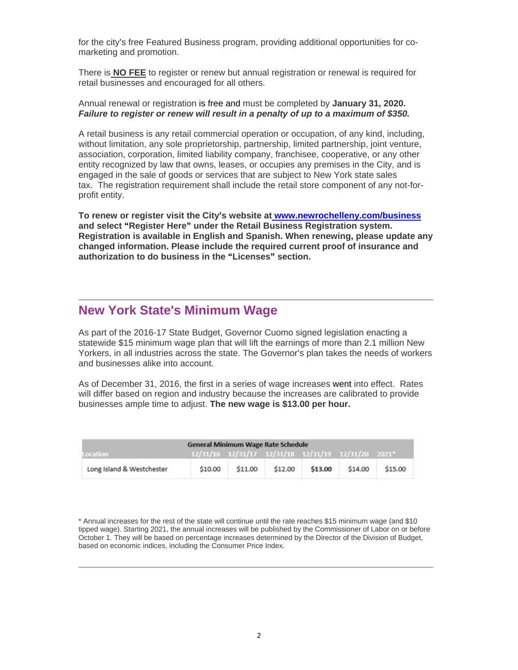for the city's free Featured Business program, providing additional opportunities for comarketing and promotion.

There is **NO FEE** to register or renew but annual registration or renewal is required for retail businesses and encouraged for all others.

#### Annual renewal or registration is free and must be completed by **January 31, 2020.**  *Failure to register or renew will result in a penalty of up to a maximum of \$350.*

A retail business is any retail commercial operation or occupation, of any kind, including, without limitation, any sole proprietorship, partnership, limited partnership, joint venture, association, corporation, limited liability company, franchisee, cooperative, or any other entity recognized by law that owns, leases, or occupies any premises in the City, and is engaged in the sale of goods or services that are subject to New York state sales tax. The registration requirement shall include the retail store component of any not-forprofit entity.

**To renew or register visit the City's website at www.newrochelleny.com/business and select "Register Here" under the Retail Business Registration system. Registration is available in English and Spanish. When renewing, please update any changed information. Please include the required current proof of insurance and authorization to do business in the "Licenses" section.** 

## **New York State's Minimum Wage**

As part of the 2016-17 State Budget, Governor Cuomo signed legislation enacting a statewide \$15 minimum wage plan that will lift the earnings of more than 2.1 million New Yorkers, in all industries across the state. The Governor's plan takes the needs of workers and businesses alike into account.

As of December 31, 2016, the first in a series of wage increases went into effect. Rates will differ based on region and industry because the increases are calibrated to provide businesses ample time to adjust. **The new wage is \$13.00 per hour.**

| <b>General Minimum Wage Rate Schedule</b> |         |         |                                                    |         |         |         |
|-------------------------------------------|---------|---------|----------------------------------------------------|---------|---------|---------|
| Location                                  |         |         | 12/31/16 12/31/17 12/31/18 12/31/19 12/31/20 2021* |         |         |         |
| Long Island & Westchester                 | \$10.00 | \$11.00 | \$12.00                                            | \$13.00 | \$14.00 | \$15.00 |

\* Annual increases for the rest of the state will continue until the rate reaches \$15 minimum wage (and \$10 tipped wage). Starting 2021, the annual increases will be published by the Commissioner of Labor on or before October 1. They will be based on percentage increases determined by the Director of the Division of Budget, based on economic indices, including the Consumer Price Index.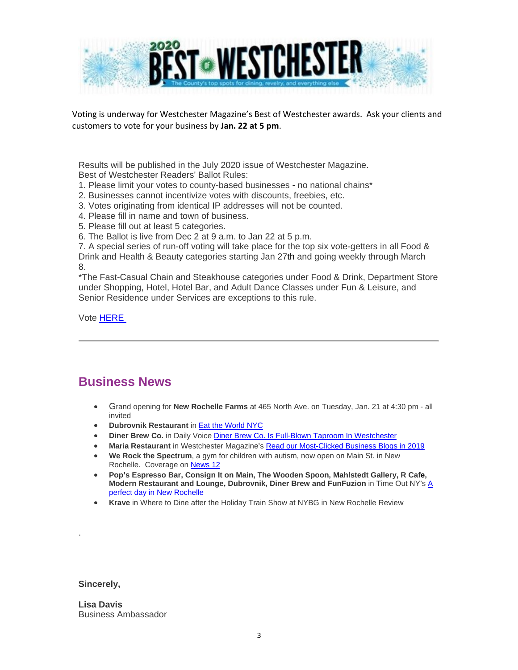

Voting is underway for Westchester Magazine's Best of Westchester awards. Ask your clients and customers to vote for your business by **Jan. 22 at 5 pm**.

Results will be published in the July 2020 issue of Westchester Magazine. Best of Westchester Readers' Ballot Rules:

- 1. Please limit your votes to county-based businesses no national chains\*
- 2. Businesses cannot incentivize votes with discounts, freebies, etc.
- 3. Votes originating from identical IP addresses will not be counted.
- 4. Please fill in name and town of business.
- 5. Please fill out at least 5 categories.
- 6. The Ballot is live from Dec 2 at 9 a.m. to Jan 22 at 5 p.m.

7. A special series of run-off voting will take place for the top six vote-getters in all Food & Drink and Health & Beauty categories starting Jan 27th and going weekly through March 8.

\*The Fast-Casual Chain and Steakhouse categories under Food & Drink, Department Store under Shopping, Hotel, Hotel Bar, and Adult Dance Classes under Fun & Leisure, and Senior Residence under Services are exceptions to this rule.

Vote HERE

### **Business News**

- Grand opening for **New Rochelle Farms** at 465 North Ave. on Tuesday, Jan. 21 at 4:30 pm all invited
- **Dubrovnik Restaurant** in Eat the World NYC
- **Diner Brew Co.** in Daily Voice Diner Brew Co. Is Full-Blown Taproom In Westchester
- **Maria Restaurant** in Westchester Magazine's Read our Most-Clicked Business Blogs in 2019
- **We Rock the Spectrum**, a gym for children with autism, now open on Main St. in New Rochelle. Coverage on News 12
- **Pop's Espresso Bar, Consign It on Main, The Wooden Spoon, Mahlstedt Gallery, R Cafe, Modern Restaurant and Lounge, Dubrovnik, Diner Brew and FunFuzion** in Time Out NY's A perfect day in New Rochelle
- **Krave** in Where to Dine after the Holiday Train Show at NYBG in New Rochelle Review

**Sincerely,** 

.

**Lisa Davis** Business Ambassador